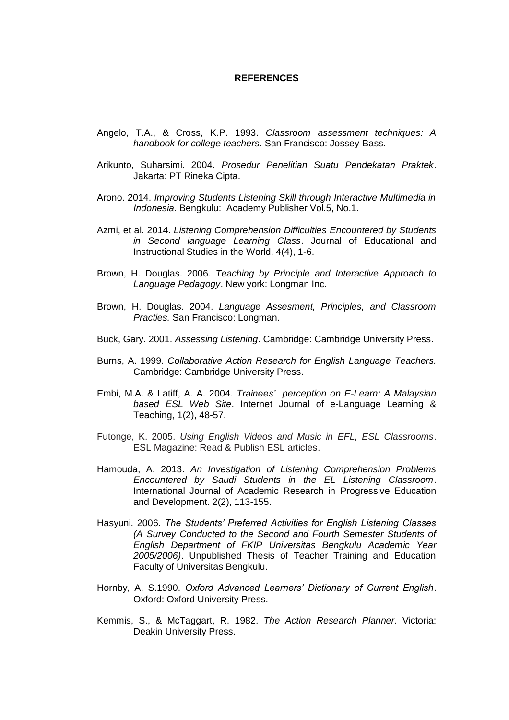## **REFERENCES**

- Angelo, T.A., & Cross, K.P. 1993. *Classroom assessment techniques: A handbook for college teachers*. San Francisco: Jossey-Bass.
- Arikunto, Suharsimi. 2004. *Prosedur Penelitian Suatu Pendekatan Praktek*. Jakarta: PT Rineka Cipta.
- Arono. 2014. *Improving Students Listening Skill through Interactive Multimedia in Indonesia*. Bengkulu: Academy Publisher Vol.5, No.1.
- Azmi, et al. 2014. *Listening Comprehension Difficulties Encountered by Students in Second language Learning Class*. Journal of Educational and Instructional Studies in the World, 4(4), 1-6.
- Brown, H. Douglas. 2006. *Teaching by Principle and Interactive Approach to Language Pedagogy*. New york: Longman Inc.
- Brown, H. Douglas. 2004. *Language Assesment, Principles, and Classroom Practies.* San Francisco: Longman.
- Buck, Gary. 2001. *Assessing Listening*. Cambridge: Cambridge University Press.
- Burns, A. 1999. *Collaborative Action Research for English Language Teachers.* Cambridge: Cambridge University Press.
- Embi, M.A. & Latiff, A. A. 2004. *Trainees' perception on E-Learn: A Malaysian based ESL Web Site*. Internet Journal of e-Language Learning & Teaching, 1(2), 48-57.
- Futonge, K. 2005. *Using English Videos and Music in EFL, ESL Classrooms*. ESL Magazine: Read & Publish ESL articles.
- Hamouda, A. 2013. *An Investigation of Listening Comprehension Problems Encountered by Saudi Students in the EL Listening Classroom*. International Journal of Academic Research in Progressive Education and Development. 2(2), 113-155.
- Hasyuni. 2006. *The Students' Preferred Activities for English Listening Classes (A Survey Conducted to the Second and Fourth Semester Students of English Department of FKIP Universitas Bengkulu Academic Year 2005/2006)*. Unpublished Thesis of Teacher Training and Education Faculty of Universitas Bengkulu.
- Hornby, A, S.1990. *Oxford Advanced Learners' Dictionary of Current English*. Oxford: Oxford University Press.
- Kemmis, S., & McTaggart, R. 1982. *The Action Research Planner*. Victoria: Deakin University Press.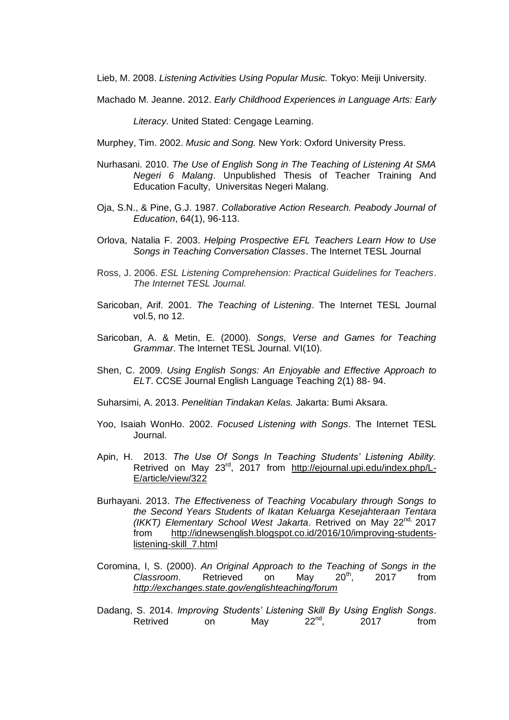Lieb, M. 2008. *Listening Activities Using Popular Music.* Tokyo: Meiji University*.*

Machado M. Jeanne. 2012. *Early Childhood Experienc*es *in Language Arts: Early* 

*Literacy.* United Stated: Cengage Learning.

Murphey, Tim. 2002. *Music and Song.* New York: Oxford University Press.

- Nurhasani. 2010. *The Use of English Song in The Teaching of Listening At SMA Negeri 6 Malang*. Unpublished Thesis of Teacher Training And Education Faculty, Universitas Negeri Malang.
- Oja, S.N., & Pine, G.J. 1987. *Collaborative Action Research. Peabody Journal of Education*, 64(1), 96-113.
- Orlova, Natalia F. 2003. *Helping Prospective EFL Teachers Learn How to Use Songs in Teaching Conversation Classes*. The Internet TESL Journal
- Ross, J. 2006. *ESL Listening Comprehension: Practical Guidelines for Teachers*. *The Internet TESL Journal.*
- Saricoban, Arif. 2001. *The Teaching of Listening*. The Internet TESL Journal vol.5, no 12.
- Saricoban, A. & Metin, E. (2000). *Songs, Verse and Games for Teaching Grammar*. The Internet TESL Journal. VI(10).
- Shen, C. 2009. *Using English Songs: An Enjoyable and Effective Approach to ELT*. CCSE Journal English Language Teaching 2(1) 88- 94.
- Suharsimi, A. 2013. *Penelitian Tindakan Kelas.* Jakarta: Bumi Aksara.
- Yoo, Isaiah WonHo. 2002. *Focused Listening with Songs*. The Internet TESL Journal.
- Apin, H. 2013. *The Use Of Songs In Teaching Students' Listening Ability.* Retrived on May 23<sup>rd</sup>, 2017 from [http://ejournal.upi.edu/index.php/L-](http://ejournal.upi.edu/index.php/L-E/article/view/322)[E/article/view/322](http://ejournal.upi.edu/index.php/L-E/article/view/322)
- Burhayani. 2013. *The Effectiveness of Teaching Vocabulary through Songs to the Second Years Students of Ikatan Keluarga Kesejahteraan Tentara (IKKT) Elementary School West Jakarta*. Retrived on May 22nd, 2017 from [http://idnewsenglish.blogspot.co.id/2016/10/improving-students](http://idnewsenglish.blogspot.co.id/2016/10/improving-students-listening-skill_7.html)[listening-skill\\_7.html](http://idnewsenglish.blogspot.co.id/2016/10/improving-students-listening-skill_7.html)
- Coromina, I, S. (2000). *An Original Approach to the Teaching of Songs in the Classroom.* Retrieved on May 20th, 2017 from *<http://exchanges.state.gov/englishteaching/forum>*
- Dadang, S. 2014. *Improving Students' Listening Skill By Using English Songs*. Retrived on May  $22^{nd}$ , 2017 from